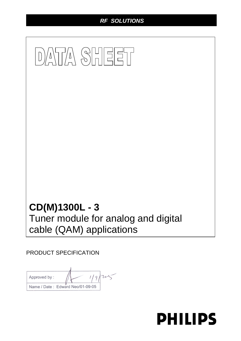# *RF SOLUTIONS*

# DATA SHEET **CD(M)1300L - 3**  Tuner module for analog and digital cable (QAM) applications

PRODUCT SPECIFICATION

 $1/9/205$ Approved by: Name / Date: Edward Neo/01-09-05

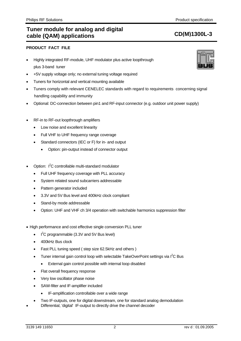# **PRODUCT FACT FILE**

- Highly integrated RF-module, UHF modulator plus active loopthrough plus 3-band tuner
- +5V supply voltage only; no external tuning voltage required
- Tuners for horizontal and vertical mounting available
- Tuners comply with relevant CENELEC standards with regard to requirements concerning signal handling capability and immunity
- Optional: DC-connection between pin1 and RF-input connector (e.g. outdoor unit power supply)
- RF-in to RF-out loopthrough amplifiers
	- Low noise and excellent linearity
	- Full VHF to UHF frequency range coverage
	- Standard connectors (IEC or F) for in- and output
		- Option: pin-output instead of connector output
- Option: I<sup>2</sup>C controllable multi-standard modulator
	- Full UHF frequency coverage with PLL accuracy
	- System related sound subcarriers addressable
	- Pattern generator included
	- 3.3V and 5V Bus level and 400kHz clock compliant
	- Stand-by mode addressable
	- Option: UHF and VHF ch 3/4 operation with switchable harmonics suppression filter
- High performance and cost effective single conversion PLL tuner
	- $\bullet$  I<sup>2</sup>C programmable (3.3V and 5V Bus level)
	- 400kHz Bus clock
	- Fast PLL tuning speed ( step size 62.5kHz and others )
	- Tuner internal gain control loop with selectable TakeOverPoint settings via  $I^2C$  Bus
		- External gain control possible with internal loop disabled
	- Flat overall frequency response
	- Very low oscillator phase noise
	- SAW-filter and IF-amplifier included
		- IF-amplification controllable over a wide range
	- Two IF-outputs, one for digital downstream, one for standard analog demodulation
	- Differential, 'digital' IF-output to directly drive the channel decoder

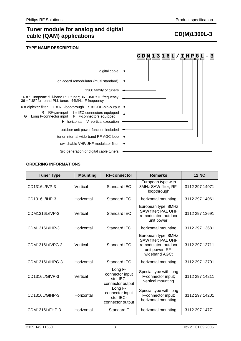# **TYPE NAME DESCRIPTION**

|                                                                                                                 | 3<br>1316L/IHPG |
|-----------------------------------------------------------------------------------------------------------------|-----------------|
| digital cable                                                                                                   |                 |
| on-board remodulator (multi standard)                                                                           |                 |
| 1300 family of tuners $\rightarrow$                                                                             |                 |
| 16 = "European" full-band PLL tuner; 36.13MHz IF frequency<br>36 = "US" full-band PLL tuner; 44MHz IF frequency |                 |
| $X =$ diplexer filter L = RF-loopthrough $S =$ OOB-pin-output $\rightarrow$                                     |                 |
| $R = RF$ -pin-input $I = IEC$ connectors equipped<br>$G = Long F$ -connector input $F = F$ -connectors equipped |                 |
| H- horizontal, V- vertical execution                                                                            |                 |
| outdoor unit power function included                                                                            |                 |
| tuner internal wide-band RF-AGC loop $\rightarrow$                                                              |                 |
| switchable VHF/UHF modulator filter                                                                             |                 |
| 3rd generation of digital cable tuners                                                                          |                 |

# **ORDERING INFORMATIONS**

| <b>Tuner Type</b> | <b>Mounting</b> | <b>RF-connector</b>                                                                               | <b>Remarks</b>                                                                                         | <b>12 NC</b>   |
|-------------------|-----------------|---------------------------------------------------------------------------------------------------|--------------------------------------------------------------------------------------------------------|----------------|
| CD1316L/IVP-3     | Vertical        | Standard IEC                                                                                      | European type with<br>8MHz SAW filter, RF-<br>loopthrough                                              | 3112 297 14071 |
| CD1316L/IHP-3     | Horizontal      | Standard IEC                                                                                      | horizontal mounting                                                                                    | 3112 297 14061 |
| CDM1316L/IVP-3    | Vertical        | European type; 8MHz<br>SAW filter; PAL UHF<br>Standard IEC<br>remodulator; outdoor<br>unit power; |                                                                                                        | 3112 297 13691 |
| CDM1316L/IHP-3    | Horizontal      | Standard IEC                                                                                      | horizontal mounting                                                                                    | 3112 297 13681 |
| CDM1316L/IVPG-3   | Vertical        | <b>Standard IEC</b>                                                                               | European type; 8MHz<br>SAW filter; PAL UHF<br>remodulator; outdoor<br>unit power; RF-<br>wideband AGC; | 3112 297 13711 |
| CDM1316L/IHPG-3   | Horizontal      | Standard IEC                                                                                      | horizontal mounting                                                                                    | 3112 297 13701 |
| CD1316L/GIVP-3    | Vertical        | Long F-<br>connector input<br>std. IEC-<br>connector output                                       | Special type with long<br>F-connector input;<br>vertical mounting                                      | 3112 297 14211 |
| CD1316L/GIHP-3    | Horizontal      | Long F-<br>connector input<br>std. IEC-<br>connector output                                       | Special type with long<br>F-connector input;<br>horizontal mounting                                    | 3112 297 14201 |
| CDM1316L/FHP-3    | Horizontal      | Standard F                                                                                        | horizontal mounting                                                                                    | 3112 297 14771 |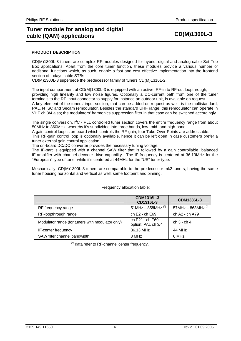## **PRODUCT DESCRIPTION**

CD(M)1300L-3 tuners are complex RF-modules designed for hybrid, digital and analog cable Set Top Box applications. Apart from the core tuner function, these modules provide a various number of additional functions which, as such, enable a fast and cost effective implementation into the frontend section of todays cable STBs.

CD(M)1300L-3 supersede the predecessor family of tuners CD(M)1316L-2.

The input compartment of CD(M)1300L-3 is equipped with an active, RF-in to RF-out loopthrough, providing high linearity and low noise figures. Optionally a DC-current path from one of the tuner terminals to the RF-input connector to supply for instance an outdoor unit, is available on request. A key-element of the tuners' input section, that can be added on request as well, is the multistandard, PAL, NTSC and Secam remodulator. Besides the standard UHF range, this remodulator can operate in VHF ch 3/4 also; the modulators' harmonics suppression filter in that case can be switched accordingly.

The single conversion,  $I^2C$  - PLL controlled tuner section covers the entire frequency range from about 50MHz to 860MHz, whereby it's subdivided into three bands, low- mid- and high-band.

A gain control loop is on-board which controls the RF-gain; four Take-Over-Points are addressable.

This RF-gain control loop is optionally available, hence it can be left open in case customers prefer a tuner external gain control application.

The on-board DC/DC converter provides the necessary tuning voltage.

The IF-part is equipped with a channel SAW filter that is followed by a gain controllable, balanced IF-amplifier with channel decoder drive capability. The IF-frequency is centered at 36.13MHz for the "European" type of tuner while it's centered at 44MHz for the "US" tuner type.

Mechanically, CD(M)1300L-3 tuners are comparable to the predecessor mk2-tuners, having the same tuner housing horizontal and vertical as well, same footprint and pinning.

|                                                  | CDM1316L-3<br>CD1316L-3               | CDM1336L-3                      |
|--------------------------------------------------|---------------------------------------|---------------------------------|
| RF frequency range                               | $51$ MHz - 858MHz <sup>(*)</sup>      | 57MHz $-$ 863MHz <sup>(*)</sup> |
| RF-loopthrough range                             | ch $E2 - ch E69$                      | ch A2 - ch A79                  |
| Modulator range (for tuners with modulator only) | ch E21 - ch E69<br>option: PAL ch 3/4 | $ch 3 - ch 4$                   |
| IF-center frequency                              | 36.13 MHz                             | 44 MHz                          |
| SAW filter channel bandwidth                     | 8 MHz                                 | 6 MHz                           |

### Frequency allocation table:

(**\***) data refer to RF-channel center frequency.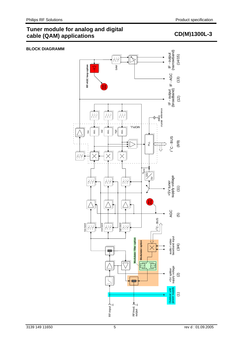# **Tuner module for analog and digital**  runch module for analog and algrical and the CD(M)1300L-3 cable (QAM) applications

# **BLOCK DIAGRAMM**

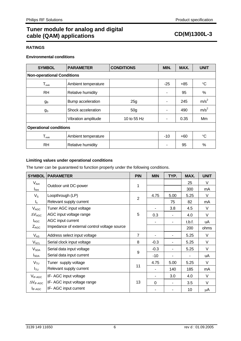# **Tuner module for analog and digital**  ration include for analog and algrical **CD(M)1300L-3**<br> **CD(M)1300L-3**

# **RATINGS**

# **Environmental conditions**

| <b>SYMBOL</b>                     | <b>PARAMETER</b>    | <b>CONDITIONS</b> |                | MAX.  | <b>UNIT</b>      |
|-----------------------------------|---------------------|-------------------|----------------|-------|------------------|
| <b>Non-operational Conditions</b> |                     |                   |                |       |                  |
| $T_{\text{AMB}}$                  | Ambient temperature |                   | $-25$          | $+85$ | $^{\circ}C$      |
| <b>RH</b>                         | Relative humidity   |                   | ۰              | 95    | %                |
| gв                                | Bump acceleration   | 25g               | ۰              | 245   | m/s <sup>2</sup> |
| $g_{\rm S}$                       | Shock acceleration  | 50 <sub>g</sub>   | ۰              | 490   | m/s <sup>2</sup> |
|                                   | Vibration amplitude | 10 to 55 Hz       | $\blacksquare$ | 0.35  | Mm               |
| <b>Operational conditions</b>     |                     |                   |                |       |                  |
| $T_{\text{AMB}}$                  | Ambient temperature |                   | $-10$          | $+60$ | $\rm ^{\circ}C$  |
| <b>RH</b>                         | Relative humidity   |                   | ۰              | 95    | $\%$             |

# **Limiting values under operational conditions**

The tuner can be guaranteed to function properly under the following conditions.

| <b>SYMBOL</b>           | <b>PARAMETER</b>                             | <b>PIN</b>     | <b>MIN</b> | TYP. | MAX.   | <b>UNIT</b> |
|-------------------------|----------------------------------------------|----------------|------------|------|--------|-------------|
| $V_{\mathsf{Ant}}$      |                                              |                |            |      | 25     | $\vee$      |
| $I_{\text{Ant}}$        | Outdoor unit DC-power                        | 1              |            |      | 300    | mA          |
| $V_{\rm S}$             | Loopthrough (LP)                             | $\overline{2}$ | 4.75       | 5.00 | 5.25   | $\vee$      |
| $\mathsf{I}_\mathsf{s}$ | Relevant supply current                      |                |            | 75   | 82     | mA          |
| $V_{AGC}$               | Tuner AGC input voltage                      |                |            | 3.8  | 4.5    | $\vee$      |
| $\Delta V_{AGC}$        | AGC input voltage range                      | 5              | 0.3        |      | 4.0    | $\vee$      |
| $I_{AGC}$               | AGC input current                            |                |            |      | t.b.f. | uA          |
| $Z_{AGC}$               | Impedance of external control voltage source |                |            |      | 200    | ohms        |
| $V_{AS}$                | Address select input voltage                 | $\overline{7}$ |            |      | 5.25   | V           |
| $V_{\text{SCL}}$        | Serial clock input voltage                   | 8              | $-0.3$     |      | 5.25   | V           |
| $V_{SDA}$               | Serial data input voltage                    |                | $-0.3$     |      | 5.25   | V           |
| $I_{SDA}$               | Serial data input current                    | 9              | $-10$      |      |        | uA          |
| $V_{\tau U}$            | Tuner supply voltage                         |                | 4.75       | 5.00 | 5.25   | $\vee$      |
| $I_{\sf TU}$            | Relevant supply current                      | 11             |            | 140  | 185    | mA          |
| $V_{IF-AGC}$            | IF-AGC input voltage                         |                |            | 3.0  | 4.0    | $\vee$      |
| $\Delta V_{IF-AGC}$     | IF- AGC input voltage range                  | 13             | $\Omega$   |      | 3.5    | $\vee$      |
| $I_{IF-AGC}$            | IF- AGC input current                        |                |            |      | 10     | μA          |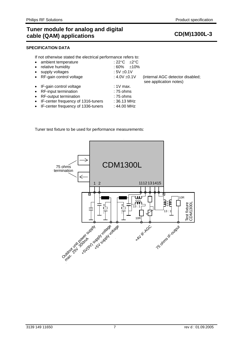# **SPECIFICATION DATA**

If not otherwise stated the electrical performance refers to:

|           | • ambient temperature                | : 22°C $\,$<br>$+2^{\circ}$ C |                                                            |
|-----------|--------------------------------------|-------------------------------|------------------------------------------------------------|
| $\bullet$ | relative humidity                    | ±10%<br>: 60%                 |                                                            |
| $\bullet$ | supply voltages                      | : $5V \pm 0.1V$               |                                                            |
|           | • RF-gain control voltage            | : $4.0V \pm 0.1V$             | (internal AGC detector disabled;<br>see application notes) |
|           | • IF-gain control voltage            | $:1V$ max.                    |                                                            |
|           | • RF-input termination               | $:75$ ohms                    |                                                            |
|           | • RF-output termination              | $:75$ ohms                    |                                                            |
|           | • IF-center frequency of 1316-tuners | : 36.13 MHz                   |                                                            |
|           | • IF-center frequency of 1336-tuners | : 44.00 MHz                   |                                                            |
|           |                                      |                               |                                                            |

Tuner test fixture to be used for performance measurements:

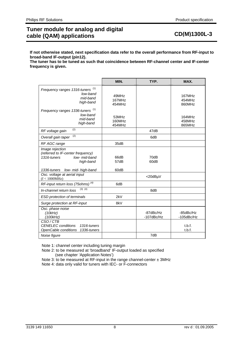**If not otherwise stated, next specification data refer to the overall performance from RF-input to broad-band IF-output (pin12).** 

**The tuner has to be tuned as such that coincidence between RF-channel center and IF-center frequency is given.** 

|                                                                                                   | MIN.                      | TYP.                    | MAX.                          |
|---------------------------------------------------------------------------------------------------|---------------------------|-------------------------|-------------------------------|
| Frequency ranges 1316-tuners <sup>(1)</sup><br>low-band<br>mid-band<br>high-band                  | 49MHz<br>167MHz<br>454MHz |                         | 167MHz<br>454MHz<br>860MHz    |
| Frequency ranges 1336-tuners <sup>(1)</sup><br>low-band<br>mid-band<br>high-band                  | 53MHz<br>160MHz<br>454MHz |                         | 164MHz<br>458MHz<br>865MHz    |
| (2)<br>RF voltage gain                                                                            |                           | 47dB                    |                               |
| (2)<br>Overall gain taper                                                                         |                           | 6dB                     |                               |
| RF AGC range                                                                                      | 35dB                      |                         |                               |
| Image rejection<br>(referred to IF-center frequency)<br>1316-tuners<br>low- mid-band<br>high-band | 66dB<br>57dB              | 70dB<br>60dB            |                               |
| low- mid- high-band<br>1336-tuners                                                                | 60dB                      |                         |                               |
| Osc. voltage at aerial input<br>(f < 1000MHz)                                                     |                           | <20dBµV                 |                               |
| RF-input return loss (75ohms) <sup>(4)</sup>                                                      | 6dB                       |                         |                               |
| $(3)$ $(4)$<br>In-channel return loss                                                             |                           | 8dB                     |                               |
| ESD protection of terminals                                                                       | 2kV                       |                         |                               |
| Surge protection at RF-input                                                                      | 8kV                       |                         |                               |
| Osc. phase noise<br>(10kHz)<br>(100kHz)                                                           |                           | -87dBc/Hz<br>-107dBc/Hz | -85dBc/Hz<br>$-105$ d $Bc/Hz$ |
| CSO/CTB<br><b>CENELEC</b> conditions<br>1316-tuners<br>OpenCable conditions<br>1336-tuners        |                           |                         | t.b.f.<br>t.b.f.              |
| Noise figure                                                                                      |                           | 7dB                     |                               |

Note 1: channel center including tuning margin

 Note 2: to be measured at 'broadband' IF-output loaded as specified (see chapter 'Application Notes')

Note 3: to be measured at RF-input in the range channel-center ± 3MHz Note 4: data only valid for tuners with IEC- or F-connectors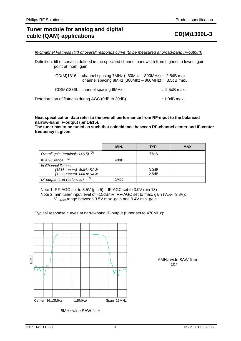*In-Channel Flatness (tilt) of overall responds curve (to be measured at broad-band IF-output):*

Definition: tilt of curve is defined in the specified channel bandwidth from highest to lowest gain point at nom. gain

> CD(M)1316L : channel spacing 7MHz ( 50Mhz – 300MHz) : 2.5dB max. channel spacing  $8$ MHz (300Mhz – 860MHz) : 3.5dB max.

CD(M)1336L : channel spacing 6MHz : 2.5dB max.

Deterioration of flatness during AGC (0dB to 30dB) : 1.0dB max.

## **Next specification data refer to the overall performance from RF-input to the balanced narrow-band IF-output (pin14/15).**

**The tuner has to be tuned as such that coincidence between RF-channel center and IF-center frequency is given.** 

|                                               | MIN. | TYP.  | MAX. |
|-----------------------------------------------|------|-------|------|
| Overall-gain (terminals 14/15) <sup>(1)</sup> |      | 77dB  |      |
| (2)<br>IF AGC range                           | 40dB |       |      |
| In-Channel flatness                           |      |       |      |
| (1316-tuners) 8MHz SAW                        |      | 3.0dB |      |
| (1336-tuners) 6MHz SAW                        |      | 2.5dB |      |
| (2)<br>IF-output level (balanced)             | 1Vpp |       |      |

Note 1: RF-AGC set to 3.5V (pin 5) ; IF-AGC set to 3.0V (pin 13) Note 2: min.tuner input level of  $-15$ dBmV; RF-AGC set to max. gain (V<sub>AGC</sub>=3.8V);  $V_{IF-AGC}$  range between 3.5V max. gain and 0.4V min. gain

Typical response curves at narrowband IF-output (tuner set to 470MHz):

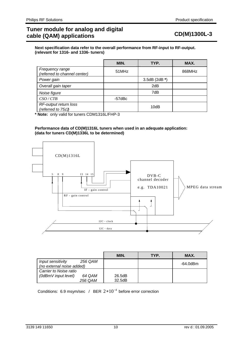**Next specification data refer to the overall performance from RF-input to RF-output. (relevant for 1316- and 1336- tuners)** 

|                                                    | MIN.          | TYP. | MAX.   |
|----------------------------------------------------|---------------|------|--------|
| Frequency range<br>(referred to channel center)    | 51MHz         |      | 868MHz |
| Power gain                                         | 3.5dB (2dB *) |      |        |
| Overall gain taper                                 |               | 2dB  |        |
| Noise figure                                       |               | 7dB  |        |
| CSO/CTB                                            | -57dBc        |      |        |
| RF-output return loss<br>(referred to $75\Omega$ ) |               | 10dB |        |

**\* Note:** only valid for tuners CDM1316L/FHP-3

### **Performance data of CD(M)1316L tuners when used in an adequate application: (data for tuners CD(M)1336L to be determined)**



|                                                           | MIN.   | TYP. | MAX.     |
|-----------------------------------------------------------|--------|------|----------|
| 256 QAM<br>Input sensitivity<br>(no external noise added) |        |      | -64.0dBm |
| Carrier to Noise ratio                                    |        |      |          |
| (0dBmV input level)<br>64 QAM                             | 26.5dB |      |          |
| 256 QAM                                                   | 32.5dB |      |          |

Conditions: 6.9 msym/sec / BER  $2*10^{-4}$  before error correction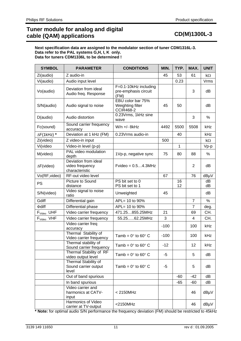### **Next specification data are assigned to the modulator section of tuner CDM1316L-3. Data refer to the PAL systems G,H, I, K only. Data for tuners CDM1336L to be determined !**

| <b>SYMBOL</b>      | <b>PARAMETER</b>                                          | <b>CONDITIONS</b>                                         | MIN.   | TYP.         | MAX.           | <b>UNIT</b> |
|--------------------|-----------------------------------------------------------|-----------------------------------------------------------|--------|--------------|----------------|-------------|
| Zi(audio)          | Z audio-in                                                |                                                           | 45     | 53           | 61             | $k\Omega$   |
| Vi(audio)          | Audio input level                                         |                                                           |        | 0.23         |                | <b>Vrms</b> |
| Vo(audio)          | Deviation from ideal<br>Audio freq. Response              | F=0.1-10kHz including<br>pre-emphasis circuit<br>(FM)     |        |              | 3              | dB          |
| S/N(audio)         | Audio signal to noise                                     | EBU color bar 75%<br>Weighting filter<br><b>CCIR468-2</b> | 45     | 50           |                | dB          |
| D(audio)           | Audio distortion                                          | 0.23Vrms, 1kHz sine<br>wave                               |        |              | 3              | %           |
| Fc(sound)          | Sound carrier frequency<br>accuracy                       | W/n +/- 8kHz                                              | 4492   | 5500         | 5508           | kHz         |
| $\Delta F(1kHz)$ * | Deviation at 1 kHz (FM)                                   | 0.23Vrms audio-in                                         |        | 40           |                | kHz         |
| Zi(video)          | Z video-in input                                          |                                                           | 500    |              |                | $k\Omega$   |
| Vi(video           | Video-in level (p-p)                                      |                                                           |        | $\mathbf{1}$ |                | Vp-p        |
| M(video)           | PAL video modulation<br>depth                             | 1Vp-p, negative sync                                      | 75     | 80           | 88             | %           |
| $\Delta F$ (video) | Deviation from ideal<br>video frequency<br>characteristic | $F$ video = $0.54.3$ MHz                                  |        |              | 2              | dB          |
| Vo(RF, video)      | RF-out video level                                        |                                                           | 67     |              | 76             | dBµV        |
| <b>PS</b>          | Picture to Sound<br>distance                              | PS bit set to 0<br>PS bit set to 1                        |        | 16<br>12     |                | dB<br>dB    |
| S/N(video)         | Video signal to noise<br>ratio                            | Unweighted                                                | 45     |              |                | dB          |
| Gdiff              | Differential gain                                         | APL= 10 to 90%                                            |        |              | $\overline{7}$ | $\%$        |
| $\Phi$ diff        | Differential phase                                        | APL= 10 to 90%                                            |        |              | $\overline{7}$ | deg.        |
| $F_{Video}$ UHF    | Video carrier frequency                                   | 471.25855.25MHz                                           | 21     |              | 69             | CH.         |
| $F_{Video}$ VHF    | Video carrier frequency                                   | 55.2562.25MHz                                             | 3      |              | 4              | CH.         |
|                    | Video carrier freq<br>accuracy                            |                                                           | $-100$ |              | 100            | kHz         |
|                    | Thermal Stability of<br>Video carrier frequency           | Tamb = $0^\circ$ to $60^\circ$ C                          | $-100$ |              | 100            | kHz         |
|                    | Thermal stability of<br>Sound carrier frequency           | Tamb = $0^\circ$ to 60 $^\circ$ C.                        | $-12$  |              | 12             | kHz         |
|                    | Thermal Stability of RF<br>video output level             | Tamb = $0^\circ$ to 60 $^\circ$ C                         | $-5$   |              | 5              | dB          |
|                    | Thermal Stability of<br>Sound carrier output<br>level     | Tamb = $0^\circ$ to 60 $^\circ$ C                         | -5     |              | 5              | dB          |
|                    | Out of band spurious                                      |                                                           |        | $-60$        | $-42$          | dB          |
|                    | In band spurious                                          |                                                           |        | $-65$        | $-60$          | dB          |
|                    | Video carrier and<br>harmonics at CATV-<br>input          | < 2150 MHz                                                |        |              | 46             | dBµV        |
|                    | Harmonics of Video<br>carrier at TV-output                | $<$ 2150MHz                                               |        |              | 46             | dBµV        |

**\* Note:** for optimal audio S/N performance the frequency deviation (FM) should be restricted to 45kHz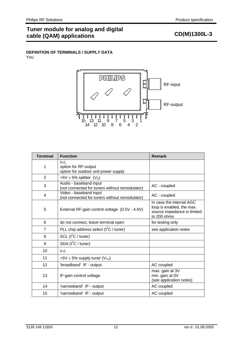# **Tuner module for analog and digital**  runch module for analog and algrical and the CD(M)1300L-3 cable (QAM) applications

# **DEFINITION OF TERMINALS / SUPPLY DATA**  You



| <b>Terminal</b> | <b>Function</b>                                                          | <b>Remark</b>                                                                                       |
|-----------------|--------------------------------------------------------------------------|-----------------------------------------------------------------------------------------------------|
| 1               | n.c.<br>option for RF-output<br>option for outdoor unit power supply     |                                                                                                     |
| $\overline{2}$  | +5V $\pm$ 5% splitter (V <sub>s</sub> )                                  |                                                                                                     |
| 3               | Audio - baseband input<br>(not connected for tuners without remodulator) | AC - coupled                                                                                        |
| $\overline{4}$  | Video - baseband input<br>(not connected for tuners without remodulator) | AC - coupled                                                                                        |
| 5               | External RF-gain control voltage (0.5V - 4.0V)                           | In case the internal AGC<br>loop is enabled, the max.<br>source impedance is limited<br>to 200 ohms |
| 6               | do not connect, leave terminal open                                      | for testing only                                                                                    |
| $\overline{7}$  | PLL chip address select $(I2C / tuner)$                                  | see application notes                                                                               |
| 8               | $SCL$ ( $I^2C /$ tuner)                                                  |                                                                                                     |
| 9               | SDA $(I^2C /$ tuner)                                                     |                                                                                                     |
| 10              | n.c.                                                                     |                                                                                                     |
| 11              | +5V $\pm$ 5% supply tuner (V <sub>TU</sub> )                             |                                                                                                     |
| 12              | 'broadband' IF - output                                                  | AC coupled                                                                                          |
| 13              | IF-gain control voltage                                                  | max. gain at 3V<br>min. gain at 0V<br>(see application notes)                                       |
| 14              | 'narrowband' IF - output                                                 | AC coupled                                                                                          |
| 15              | 'narrowband' IF - output                                                 | AC coupled                                                                                          |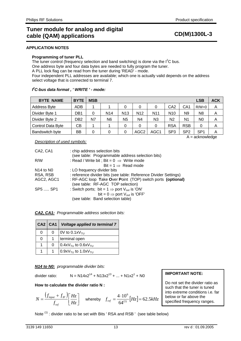# **APPLICATION NOTES**

# **Programming of tuner PLL**

The tuner control (frequency selection and band switching) is done via the  $I^2C$  bus. One address byte and four data bytes are needed to fully program the tuner. A PLL lock flag can be read from the tuner during 'READ' - mode. Four independent PLL addresses are available; which one is actually valid depends on the address select voltage that is connected to terminal 7.

# *I 2 C-bus data format , ' WRITE ' - mode:*

| <b>BYTE NAME</b>         | <b>BYTE</b>     | <b>MSB</b> |                 |                 |                  |                |                  |                 | <b>LSB</b>        | <b>ACK</b> |
|--------------------------|-----------------|------------|-----------------|-----------------|------------------|----------------|------------------|-----------------|-------------------|------------|
| <b>Address Byte</b>      | <b>ADB</b>      |            |                 | 0               | 0                | 0              | C <sub>A</sub> 2 | CA <sub>1</sub> | $R/W=0$           | Α          |
| Divider Byte 1           | DB <sub>1</sub> | 0          | N <sub>14</sub> | N <sub>13</sub> | N <sub>12</sub>  | N <sub>1</sub> | N <sub>10</sub>  | N <sub>9</sub>  | N <sub>8</sub>    | Α          |
| Divider Byte 2           | DB2             | N7         | N <sub>6</sub>  | N <sub>5</sub>  | N4               | N <sub>3</sub> | N2               | N1              | N0                | Α          |
| <b>Control Data Byte</b> | CВ              |            |                 | 0               | 0                | 0              | <b>RSA</b>       | <b>RSB</b>      | 0                 | Α          |
| Bandswitch byte          | ВB              | 0          | 0               | 0               | AGC <sub>2</sub> | AGC1           | SP <sub>3</sub>  | SP <sub>2</sub> | SP <sub>1</sub>   | A          |
|                          |                 |            |                 |                 |                  |                |                  |                 | $A =$ acknowledge |            |

## *Description of used symbols:*

| CA2, CA1      | : chip address selection bits                                       |
|---------------|---------------------------------------------------------------------|
|               | (see table: Programmable address selection bits)                    |
| R/W           | : Read / Write bit ; Bit = $0 \Rightarrow$ Write mode               |
|               | Bit = $1 \Rightarrow$ Read mode                                     |
| $N14$ to $N0$ | : LO frequency divider bits                                         |
| RSA, RSB      | : reference divider bits (see table: Reference Divider Settings)    |
| AGC2, AGC1    | : RF-AGC loop Take Over Point (TOP) switch ports (optional)         |
|               | (see table: RF-AGC TOP selection)                                   |
| SP5  SP1      | : Switch ports; bit = $1 \Rightarrow$ port V <sub>out</sub> is 'ON' |
|               | bit = $0 \Rightarrow$ port $V_{\text{out}}$ is 'OFF'                |
|               | (see table: Band selection table)                                   |

## *CA2, CA1: Programmable address selection bits:*

|   | CA2 CA1 | <b>Voltage applied to terminal 7</b>       |
|---|---------|--------------------------------------------|
| 0 |         | OV to $0.1xV$ <sub>TU</sub>                |
| 0 |         | terminal open                              |
|   | O       | $0.4xV_{\text{TU}}$ to $0.6xV_{\text{TU}}$ |
|   |         | $0.9xV_{\text{TU}}$ to 1.0xV <sub>TU</sub> |

## *N14 to N0: programmable divider bits:*

divider ratio: 
$$
N = N14x2^{14} + N13x2^{13} + ... + N1x2^{1} + N0
$$

## **How to calculate the divider ratio N :**

$$
N = \frac{\left(f_{input} + f_{IF}\right)}{f_{ref}} \left[\frac{Hz}{Hz}\right]
$$
 whereby  $f_{ref} = \frac{4 \cdot 10^6}{64^{(1)}} [Hz] = 62.5 kHz$ 

Note <sup>(1)</sup> : divider ratio to be set with Bits ' RSA and RSB ' (see table below)

# **IMPORTANT NOTE:**

Do not set the divider ratio as such that the tuner is tuned into extreme conditions i.e. far below or far above the specified frequency ranges.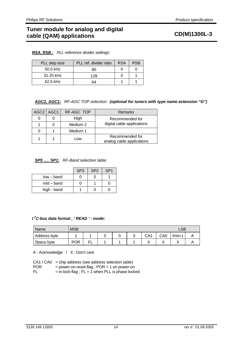|  | <b>RSA, RSB:</b> PLL reference divider settings: |
|--|--------------------------------------------------|
|--|--------------------------------------------------|

| PLL step size | PLL ref. divider ratio | <b>RSA</b> | <b>RSB</b> |
|---------------|------------------------|------------|------------|
| 50.0 kHz      | 80                     |            |            |
| 31.25 kHz     | 128                    |            |            |
| 62.5 kHz      | 64                     |            |            |

*AGC2, AGC1: RF-AGC TOP selection: (optional for tuners with type name extension "G")*

| AGC2   AGC1 | RF-AGC TOP | Remarks                                      |
|-------------|------------|----------------------------------------------|
|             | High       | Recommended for                              |
|             | Medium 2   | digital cable applications                   |
|             | Medium 1   |                                              |
|             | ∟ow        | Recommended for<br>analog cable applications |

# *SP5 ..... SP1: RF-Band selection table:*

|              | SP <sub>3</sub> | SP <sub>2</sub> | SP <sub>1</sub> |
|--------------|-----------------|-----------------|-----------------|
| $low-band$   |                 |                 |                 |
| $mid$ – band |                 |                 |                 |
| high - band  |                 |                 |                 |

# *I 2 C-bus data format , ' READ ' - mode:*

| Name         | <b>MSB</b> | LSB |  |  |  |                 |     |         |  |  |
|--------------|------------|-----|--|--|--|-----------------|-----|---------|--|--|
| Address byte |            |     |  |  |  | CA <sub>1</sub> | CA0 | $R/W=1$ |  |  |
| Status byte  | <b>POR</b> | FL  |  |  |  |                 |     |         |  |  |

A : Acknowledge / X : Don't care

|            | $CA1 / CA0 = chip address (see address selection table)$ |
|------------|----------------------------------------------------------|
| <b>POR</b> | $=$ power-on-reset-flag; POR $=$ 1 on power-on           |
| FL.        | $=$ in-lock-flag; $FL = 1$ when PLL is phase locked      |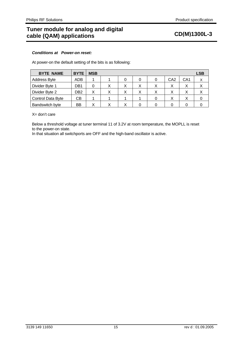# *Conditions at Power-on reset:*

At power-on the default setting of the bits is as following:

| <b>BYTE NAME</b>         | <b>BYTE</b>     | <b>MSB</b> |              |   |   |                 |                   | <b>LSB</b> |
|--------------------------|-----------------|------------|--------------|---|---|-----------------|-------------------|------------|
| <b>Address Byte</b>      | ADB             |            |              |   | 0 | CA <sub>2</sub> | CA <sub>1</sub>   | Χ          |
| Divider Byte 1           | DB1             | 0          | $\checkmark$ | X | X | $\checkmark$    | X                 |            |
| Divider Byte 2           | DB <sub>2</sub> | X          |              |   |   | Χ               | X                 |            |
| <b>Control Data Byte</b> | CВ              |            |              |   |   | ∧               | $\checkmark$<br>⋏ |            |
| Bandswitch byte          | ВB              | Χ          |              |   |   |                 |                   |            |

# X= don't care

Below a threshold voltage at tuner terminal 11 of 3.2V at room temperature, the MOPLL is reset to the power-on state.

In that situation all switchports are OFF and the high-band oscillator is active.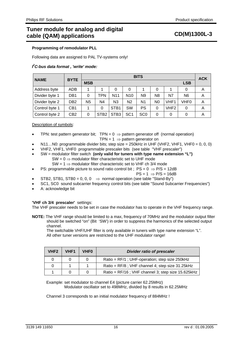## **Programming of remodulator PLL**

Following data are assigned to PAL TV-systems only!

# *I 2 C-bus data format , 'write' mode:*

| <b>NAME</b>    | <b>BYTE</b>     | <b>BITS</b> |                  |                  |                 |                 |                |                  | <b>ACK</b> |   |  |  |
|----------------|-----------------|-------------|------------------|------------------|-----------------|-----------------|----------------|------------------|------------|---|--|--|
|                |                 | <b>MSB</b>  | <b>LSB</b>       |                  |                 |                 |                |                  |            |   |  |  |
| Address byte   | <b>ADB</b>      |             |                  | 0                | 0               |                 | 0              | 1                | 0          | Α |  |  |
| Divider byte 1 | DB <sub>1</sub> | 0           | TPN              | N <sub>11</sub>  | N <sub>10</sub> | N9              | N <sub>8</sub> | N7               | N6         | Α |  |  |
| Divider byte 2 | DB <sub>2</sub> | N5          | N4               | N <sub>3</sub>   | N <sub>2</sub>  | N <sub>1</sub>  | N0             | VHF1             | VHF0       | Α |  |  |
| Control byte 1 | CB <sub>1</sub> |             | 0                | STB <sub>1</sub> | <b>SW</b>       | PS              | 0              | VHF <sub>2</sub> | 0          | Α |  |  |
| Control byte 2 | CB2             | 0           | STB <sub>2</sub> | STB <sub>3</sub> | SC <sub>1</sub> | SC <sub>0</sub> | 0              | 0                | 0          | Α |  |  |

# Description of symbols:

- TPN: test pattern generator bit;  $TPN = 0 \Rightarrow$  pattern generator off (normal operation)
	- TPN =  $1 \Rightarrow$  pattern generator on
- N11...NO: programmable divider bits; step size =  $250$ kHz in UHF (VHF2, VHF1, VHF0 = 0, 0, 0)
- VHF2, VHF1, VHF0 programmable prescaler bits (see table "VHF prescaler")
- SW = modulator filter switch **(only valid for tuners with type name extension "L")**  $SW = 0 \Rightarrow$  modulator filter characteristic set to UHF mode  $SW = 1 \Rightarrow$  modulator filter characteristic set to VHF ch 3/4 mode
	- PS: programmable picture to sound ratio control bit ;  $PS = 0 \Rightarrow P/S = 12dB$

$$
PS = 1 \implies P/S = 16dB
$$

- STB2, STB1, STB0 = 0, 0, 0  $\Rightarrow$  normal operation (see table "Stand-By")
- SC1, SC0 sound subcarrier frequency control bits (see table "Sound Subcarrier Frequencies")
- A: acknowledge bit

## **'VHF ch 3/4 prescaler'** settings:

The VHF prescaler needs to be set in case the modulator has to operate in the VHF frequency range.

**NOTE:** The VHF range should be limited to a max, frequency of 70MHz and the modulator output filter should be switched "on" (Bit 'SW') in order to suppress the harmonics of the selected output channel.

 The switchable VHF/UHF filter is only available in tuners with type name extension "L". All other tuner versions are restricted to the UHF modulator range!

| VHF <sub>2</sub> | VHF <sub>1</sub> | <b>VHF0</b> | <b>Divider ratio of prescaler</b>                 |
|------------------|------------------|-------------|---------------------------------------------------|
|                  | $\Omega$         | $\Omega$    | Ratio = RF/1; UHF-operation; step size 250kHz     |
|                  |                  |             | Ratio = RF/8; VHF channel 4; step size 31.25kHz   |
|                  |                  |             | Ratio = RF/16; VHF channel 3; step size 15.625kHz |

Example: set modulator to channel E4 (picture carrier 62.25MHz) Modulator oscillator set to 498MHz, divided by 8 results in 62.25MHz

Channel 3 corresponds to an initial modulator frequency of 884MHz !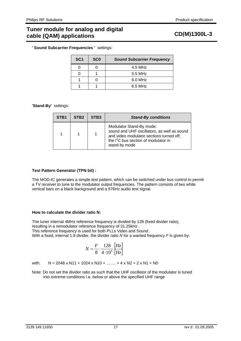**' Sound Subcarrier Frequencies '** settings:

| SC <sub>1</sub> | <b>SCO</b> | <b>Sound Subcarrier Frequency</b> |
|-----------------|------------|-----------------------------------|
|                 |            | 4.5 MHz                           |
|                 |            | 5.5 MHz                           |
|                 |            | 6.0 MHz                           |
|                 |            | 6.5 MHz                           |

# **'Stand-By'** settings:

| STB <sub>1</sub> | STB <sub>2</sub> | STB <sub>3</sub> | <b>Stand-By conditions</b>                                                                                                                                                               |
|------------------|------------------|------------------|------------------------------------------------------------------------------------------------------------------------------------------------------------------------------------------|
|                  |                  |                  | Modulator Stand-By mode:<br>sound and UHF oscillators, as well as sound<br>and video modulator sections turned off;<br>the I <sup>2</sup> C bus section of modulator in<br>stand-by mode |

## **Test Pattern Generator (TPN bit) :**

The MOD-IC generates a simple test pattern, which can be switched under bus control to permit a TV receiver to tune to the modulator output frequencies. The pattern consists of two white vertical bars on a black background and a 976Hz audio test signal.

## **How to calculate the divider ratio N:**

The tuner internal 4MHz reference frequency is divided by 128 (fixed divider ratio), resulting in a remodulator reference frequency of 31.25kHz . This reference frequency is used for both PLLs Video and Sound . With a fixed, internal 1:8 divider, the divider ratio *N* for a wanted frequency *F* is given by:

$$
N = \frac{F}{8} \cdot \frac{128}{4 \cdot 10^6} \frac{[Hz]}{[Hz]}
$$

with:  $N = 2048 \times N11 + 1024 \times N10 + \dots + 4 \times N2 + 2 \times N1 + N0$ 

Note: Do not set the divider ratio as such that the UHF oscillator of the modulator is tuned into extreme conditions i.e. below or above the specified UHF range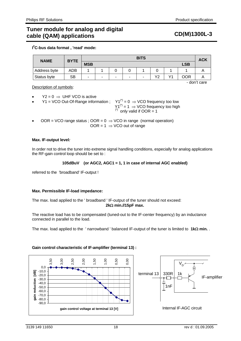**I 2 C-bus data format , 'read' mode:** 

| <b>NAME</b>  | <b>BYTE</b> | <b>BITS</b> |        |  |                          |                          |    |    | <b>ACK</b> |              |
|--------------|-------------|-------------|--------|--|--------------------------|--------------------------|----|----|------------|--------------|
|              |             | <b>MSB</b>  |        |  |                          |                          |    |    | <b>LSB</b> |              |
| Address byte | ADB         |             |        |  |                          |                          | 0  |    |            |              |
| Status byte  | SB          | ٠           | $\sim$ |  | $\overline{\phantom{a}}$ | $\overline{\phantom{0}}$ | Υ2 | Υ1 | OOR        | ⌒            |
|              |             |             |        |  |                          |                          |    |    |            | - don't care |

Description of symbols:

- $Y2 = 0 \Rightarrow \text{UHF VCO is active}$
- Y1 = VCO Out-Of-Range information ;  $Y1^{(1)} = 0 \Rightarrow VCO$  frequency too low  $Y1^{(')} = 1 \Rightarrow VCO$  frequency too high<br>
(\*) only valid if OOR = 1
- OOR = VCO range status ; OOR =  $0 \Rightarrow$  VCO in range (normal operation) OOR =  $1 \Rightarrow$  VCO out of range

# **Max. IF-output level***:*

In order not to drive the tuner into extreme signal handling conditions, especially for analog applications the RF-gain control loop should be set to :

# **105dBuV (or AGC2, AGC1 = 1, 1 in case of internal AGC enabled)**

referred to the 'broadband' IF-output !

## **Max. Permissible IF-load impedance:**

The max. load applied to the ' broadband ' IF-output of the tuner should not exceed: **2k**Ω **min.//15pF max.**

The reactive load has to be compensated (tuned-out to the IF-center frequency) by an inductance connected in parallel to the load.

The max. load applied to the ' narrowband ' balanced IF-output of the tuner is limited to **1k**Ω **min.** .



# **Gain control characteristic of IF-amplifier (terminal 13) :**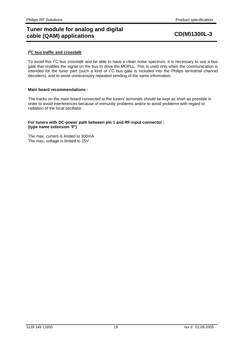# **I 2 C bus traffic and crosstalk**

To avoid this  $I^2C$  bus crosstalk and be able to have a clean noise spectrum, it is necessary to use a bus gate that enables the signal on the bus to drive the MOPLL. This is used only when the communication is intended for the tuner part (such a kind of  $I^2C$  bus gate is included into the Philips terrestrial channel decoders), and to avoid unnecessary repeated sending of the same information.

### **Main board recommendations :**

The tracks on the main board connected to the tuners' terminals should be kept as short as possible in order to avoid interferences because of immunity problems and/or to avoid problems with regard to radiation of the local oscillator.

## **For tuners with DC-power path between pin 1 and RF-input connector : (type name extension 'P')**

The max. current is limited to 300mA The max. voltage is limited to 25V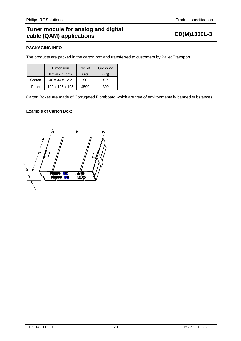# **PACKAGING INFO**

The products are packed in the carton box and transferred to customers by Pallet Transport.

|        | Dimension                  | No. of | Gross Wt |
|--------|----------------------------|--------|----------|
|        | $b \times w \times h$ (cm) | sets   | (Ka)     |
| Carton | 46 x 34 x 12.2             | 90     | 5.7      |
| Pallet | 120 x 105 x 105            | 4590   | 309      |

Carton Boxes are made of Corrugated Fibreboard which are free of environmentally banned substances.

# **Example of Carton Box:**

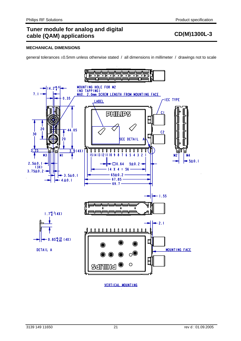# **MECHANICAL DIMENSIONS**

general tolerances ±0.5mm unless otherwise stated / all dimensions in millimeter / drawings not to scale



VERTICAL MOUNTING .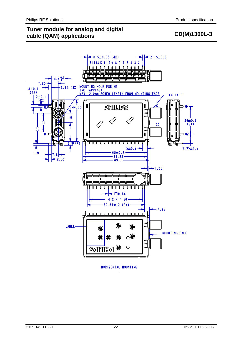



HORIZONTAL MOUNTING .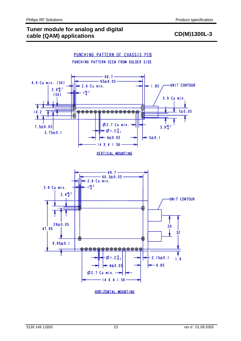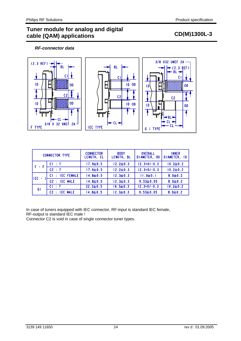# *RF-connector data*



| <b>CONNECTOR TYPE</b> |                 | <b>CONNECTOR</b><br>LENGTH, CL | <b>BODY</b><br>LENGTH, BL | <b>OVERALL</b><br>DIAMETER, OD | <b>INNER</b><br>DIAMETER, ID |  |
|-----------------------|-----------------|--------------------------------|---------------------------|--------------------------------|------------------------------|--|
|                       | $CI$ : $F$      | $17.9 \pm 0.5$                 | $12.2 \pm 0.3$            | $12.3 + 0/-0.3$                | $10.2 \pm 0.2$               |  |
|                       | C2 : F          | $17.9 \pm 0.5$                 | $12.2 \pm 0.3$            | $12.3 + 0/-0.3$                | $10.2 \pm 0.2$               |  |
| TLEC <sub>1</sub>     | CI : IEC FEMALE | $14.8 \pm 0.5$                 | $12.3 \pm 0.3$            | $11.0 \pm 0.1$                 | $8.0 + 0.2$                  |  |
|                       | C2 : IEC MALE   | $14.8 \pm 0.5$                 | $12.3 \pm 0.3$            | $9.53 \pm 0.05$                | $8.0 \pm 0.2$                |  |
| GI                    | $CI \pm F$      | $22.2 \pm 0.5$                 | $16.5 \pm 0.3$            | $12.3 + 0/-0.3$                | $10.2 \pm 0.2$               |  |
|                       | C2 : IEC MALE   | $14.8 \pm 0.5$                 | $12.3 \pm 0.3$            | $9.53 \pm 0.05$                | $8.0 + 0.2$                  |  |

In case of tuners equipped with IEC connector, RF-input is standard IEC female, RF-output is standard IEC male !

Connector C2 is void in case of single connector tuner types.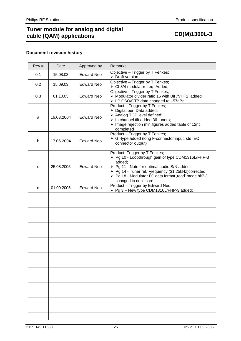# **Tuner module for analog and digital**  runch module for analog and algrical and the CD(M)1300L-3 cable (QAM) applications

# **Document revision history**

| Rev# | Date       | Approved by       | <b>Remarks</b>                                                                                                                                                                                                                                                                                      |
|------|------------|-------------------|-----------------------------------------------------------------------------------------------------------------------------------------------------------------------------------------------------------------------------------------------------------------------------------------------------|
| 0.1  | 15.08.03   | <b>Edward Neo</b> | Objective - Trigger by T.Fenkes;<br>$\triangleright$ Draft version                                                                                                                                                                                                                                  |
| 0.2  | 15.09.03   | <b>Edward Neo</b> | Objective - Trigger by T.Fenkes;<br>> Ch3/4 modulator freq. Added;                                                                                                                                                                                                                                  |
| 0.3  | 01.10.03   | <b>Edward Neo</b> | Objective - Trigger by T. Fenkes;<br>> Modulator divider ratio 16 with Bit, 'VHF2' added;<br>> LP CSO/CTB data changed to -57dBc                                                                                                                                                                    |
| a    | 16.03.2004 | <b>Edward Neo</b> | Product - Trigger by T.Fenkes;<br>$\triangleright$ Digital per. Data added;<br>> Analog TOP level defined;<br>$\triangleright$ In channel tilt added 36-tuners;<br>$\triangleright$ Image rejection min. figures added table of 12nc<br>completed                                                   |
| b    | 17.05.2004 | <b>Edward Neo</b> | Product - Trigger by T.Fenkes;<br>> GI-type added (long F-connector input, std.IEC<br>connector output)                                                                                                                                                                                             |
| C    | 25.08.2005 | <b>Edward Neo</b> | Product- Trigger by T Fenkes;<br>> Pg 10 - Loopthrough gain of type CDM1316L/FHP-3<br>added;<br>> Pg 11 - Note for optimal audio S/N added;<br>> Pg 14 - Tuner ref. Frequency (31.25kHz)corrected;<br>≻ Pg 18 - Modulator I <sup>2</sup> C data format , read' mode bit7-3<br>changed to don't care |
| d    | 01.09.2005 | <b>Edward Neo</b> | Product - Trigger by Edward Neo;<br>> Pg 3 - New type CDM1316L/FHP-3 added;                                                                                                                                                                                                                         |
|      |            |                   |                                                                                                                                                                                                                                                                                                     |
|      |            |                   |                                                                                                                                                                                                                                                                                                     |
|      |            |                   |                                                                                                                                                                                                                                                                                                     |
|      |            |                   |                                                                                                                                                                                                                                                                                                     |
|      |            |                   |                                                                                                                                                                                                                                                                                                     |
|      |            |                   |                                                                                                                                                                                                                                                                                                     |
|      |            |                   |                                                                                                                                                                                                                                                                                                     |
|      |            |                   |                                                                                                                                                                                                                                                                                                     |
|      |            |                   |                                                                                                                                                                                                                                                                                                     |
|      |            |                   |                                                                                                                                                                                                                                                                                                     |
|      |            |                   |                                                                                                                                                                                                                                                                                                     |
|      |            |                   |                                                                                                                                                                                                                                                                                                     |
|      |            |                   |                                                                                                                                                                                                                                                                                                     |
|      |            |                   |                                                                                                                                                                                                                                                                                                     |